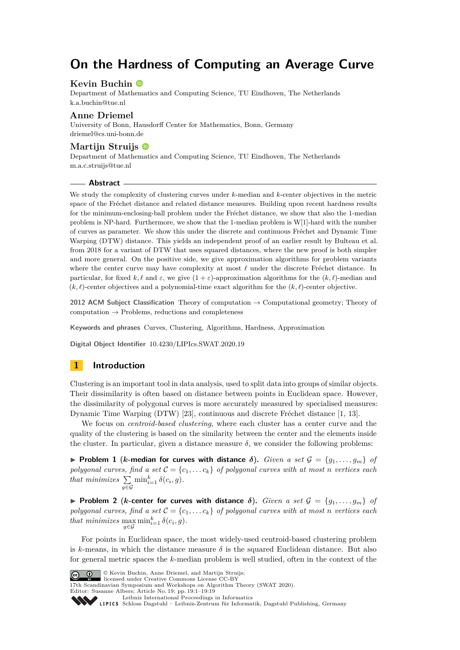# **On the Hardness of Computing an Average Curve**

## **Kevin Buchin**

Department of Mathematics and Computing Science, TU Eindhoven, The Netherlands [k.a.buchin@tue.nl](mailto:k.a.buchin@tue.nl)

### **Anne Driemel**

University of Bonn, Hausdorff Center for Mathematics, Bonn, Germany [driemel@cs.uni-bonn.de](mailto:driemel@cs.uni-bonn.de)

### **Martijn Struijs**

Department of Mathematics and Computing Science, TU Eindhoven, The Netherlands [m.a.c.struijs@tue.nl](mailto:m.a.c.struijs@tue.nl)

#### **Abstract**

We study the complexity of clustering curves under *k*-median and *k*-center objectives in the metric space of the Fréchet distance and related distance measures. Building upon recent hardness results for the minimum-enclosing-ball problem under the Fréchet distance, we show that also the 1-median problem is NP-hard. Furthermore, we show that the 1-median problem is W[1]-hard with the number of curves as parameter. We show this under the discrete and continuous Fréchet and Dynamic Time Warping (DTW) distance. This yields an independent proof of an earlier result by Bulteau et al. from 2018 for a variant of DTW that uses squared distances, where the new proof is both simpler and more general. On the positive side, we give approximation algorithms for problem variants where the center curve may have complexity at most  $\ell$  under the discrete Fréchet distance. In particular, for fixed  $k, \ell$  and  $\varepsilon$ , we give  $(1 + \varepsilon)$ -approximation algorithms for the  $(k, \ell)$ -median and  $(k, \ell)$ -center objectives and a polynomial-time exact algorithm for the  $(k, \ell)$ -center objective.

**2012 ACM Subject Classification** Theory of computation → Computational geometry; Theory of computation  $\rightarrow$  Problems, reductions and completeness

**Keywords and phrases** Curves, Clustering, Algorithms, Hardness, Approximation

**Digital Object Identifier** [10.4230/LIPIcs.SWAT.2020.19](https://doi.org/10.4230/LIPIcs.SWAT.2020.19)

# **1 Introduction**

Clustering is an important tool in data analysis, used to split data into groups of similar objects. Their dissimilarity is often based on distance between points in Euclidean space. However, the dissimilarity of polygonal curves is more accurately measured by specialised measures: Dynamic Time Warping (DTW) [\[23\]](#page-16-0), continuous and discrete Fréchet distance [\[1,](#page-15-0) [13\]](#page-15-1).

We focus on *centroid-based clustering*, where each cluster has a center curve and the quality of the clustering is based on the similarity between the center and the elements inside the cluster. In particular, given a distance measure  $\delta$ , we consider the following problems:

**Problem 1** (*k*-median for curves with distance  $\delta$ ). *Given a set*  $\mathcal{G} = \{g_1, \ldots, g_m\}$  of *polygonal curves, find a set*  $C = \{c_1, \ldots c_k\}$  *of polygonal curves with at most n vertices each that minimizes*  $\Sigma$ *g*∈G  $\min_{i=1}^k \delta(c_i, g)$ .

**Problem 2** (*k*-center for curves with distance  $\delta$ ). *Given a set*  $\mathcal{G} = \{g_1, \ldots, g_m\}$  of *polygonal curves, find a set*  $C = \{c_1, \ldots c_k\}$  *of polygonal curves with at most n vertices each that minimizes*  $\max_{g \in \mathcal{G}} \min_{i=1}^k \delta(c_i, g)$ .

For points in Euclidean space, the most widely-used centroid-based clustering problem is *k*-means, in which the distance measure  $\delta$  is the squared Euclidean distance. But also for general metric spaces the *k*-median problem is well studied, often in the context of the





17th Scandinavian Symposium and Workshops on Algorithm Theory (SWAT 2020).

Editor: Susanne Albers; Article No. 19; pp. 19:1–19[:19](#page-18-0)

Leibniz International Froceedings in Informatik, Dagstuhl Publishing, Germany<br>LIPICS [Schloss Dagstuhl – Leibniz-Zentrum für Informatik, Dagstuhl Publishing, Germany](https://www.dagstuhl.de)

[Leibniz International Proceedings in Informatics](https://www.dagstuhl.de/lipics/)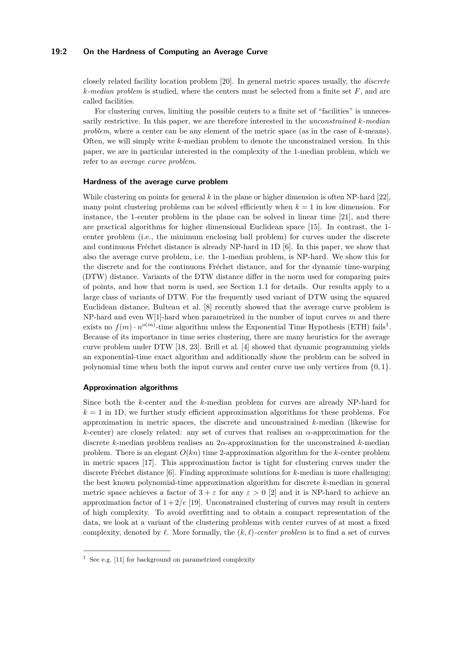### **19:2 On the Hardness of Computing an Average Curve**

closely related facility location problem [\[20\]](#page-16-1). In general metric spaces usually, the *discrete k-median problem* is studied, where the centers must be selected from a finite set *F*, and are called facilities.

For clustering curves, limiting the possible centers to a finite set of "facilities" is unnecessarily restrictive. In this paper, we are therefore interested in the *unconstrained k-median problem*, where a center can be any element of the metric space (as in the case of *k*-means). Often, we will simply write *k*-median problem to denote the unconstrained version. In this paper, we are in particular interested in the complexity of the 1-median problem, which we refer to as *average curve problem*.

#### **Hardness of the average curve problem**

While clustering on points for general *k* in the plane or higher dimension is often NP-hard [\[22\]](#page-16-2), many point clustering problems can be solved efficiently when  $k = 1$  in low dimension. For instance, the 1-center problem in the plane can be solved in linear time [\[21\]](#page-16-3), and there are practical algorithms for higher dimensional Euclidean space [\[15\]](#page-15-2). In contrast, the 1 center problem (i.e., the minimum enclosing ball problem) for curves under the discrete and continuous Fréchet distance is already NP-hard in 1D [\[6\]](#page-15-3). In this paper, we show that also the average curve problem, i.e. the 1-median problem, is NP-hard. We show this for the discrete and for the continuous Fréchet distance, and for the dynamic time-warping (DTW) distance. Variants of the DTW distance differ in the norm used for comparing pairs of points, and how that norm is used, see Section [1.1](#page-2-0) for details. Our results apply to a large class of variants of DTW. For the frequently used variant of DTW using the squared Euclidean distance, Bulteau et al. [\[8\]](#page-15-4) recently showed that the average curve problem is NP-hard and even W[1]-hard when parametrized in the number of input curves *m* and there exists no  $f(m) \cdot n^{o(m)}$ -time algorithm unless the Exponential Time Hypothesis (ETH) fails<sup>[1](#page-1-0)</sup>. Because of its importance in time series clustering, there are many heuristics for the average curve problem under DTW [\[18,](#page-15-5) [23\]](#page-16-0). Brill et al. [\[4\]](#page-15-6) showed that dynamic programming yields an exponential-time exact algorithm and additionally show the problem can be solved in polynomial time when both the input curves and center curve use only vertices from {0*,* 1}.

#### **Approximation algorithms**

Since both the *k*-center and the *k*-median problem for curves are already NP-hard for  $k = 1$  in 1D, we further study efficient approximation algorithms for these problems. For approximation in metric spaces, the discrete and unconstrained *k*-median (likewise for *k*-center) are closely related: any set of curves that realises an *α*-approximation for the discrete *k*-median problem realises an 2*α*-approximation for the unconstrained *k*-median problem. There is an elegant  $O(kn)$  time 2-approximation algorithm for the *k*-center problem in metric spaces [\[17\]](#page-15-7). This approximation factor is tight for clustering curves under the discrete Fréchet distance [\[6\]](#page-15-3). Finding approximate solutions for *k*-median is more challenging: the best known polynomial-time approximation algorithm for discrete *k*-median in general metric space achieves a factor of  $3 + \varepsilon$  for any  $\varepsilon > 0$  [\[2\]](#page-15-8) and it is NP-hard to achieve an approximation factor of  $1 + 2/e$  [\[19\]](#page-15-9). Unconstrained clustering of curves may result in centers of high complexity. To avoid overfitting and to obtain a compact representation of the data, we look at a variant of the clustering problems with center curves of at most a fixed complexity, denoted by  $\ell$ . More formally, the  $(k, \ell)$ -center problem is to find a set of curves

<span id="page-1-0"></span><sup>&</sup>lt;sup>1</sup> See e.g. [\[11\]](#page-15-10) for background on parametrized complexity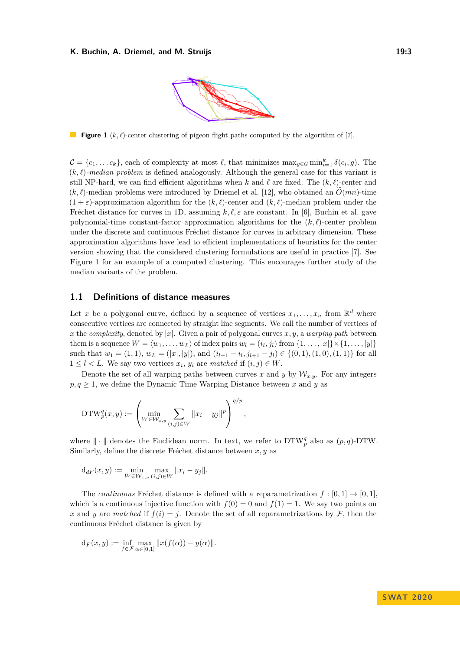

<span id="page-2-1"></span>**Figure 1** ( $k, \ell$ )-center clustering of pigeon flight paths computed by the algorithm of [\[7\]](#page-15-11).

 $\mathcal{C} = \{c_1, \ldots c_k\}$ , each of complexity at most  $\ell$ , that minimizes  $\max_{g \in \mathcal{G}} \min_{i=1}^k \delta(c_i, g)$ . The  $(k, \ell)$ -median problem is defined analogously. Although the general case for this variant is still NP-hard, we can find efficient algorithms when k and  $\ell$  are fixed. The  $(k, \ell)$ -center and  $(k, \ell)$ -median problems were introduced by Driemel et al. [\[12\]](#page-15-12), who obtained an  $\tilde{O}(mn)$ -time  $(1 + \varepsilon)$ -approximation algorithm for the  $(k, \ell)$ -center and  $(k, \ell)$ -median problem under the Fréchet distance for curves in 1D, assuming  $k, \ell, \varepsilon$  are constant. In [\[6\]](#page-15-3), Buchin et al. gave polynomial-time constant-factor approximation algorithms for the  $(k, \ell)$ -center problem under the discrete and continuous Fréchet distance for curves in arbitrary dimension. These approximation algorithms have lead to efficient implementations of heuristics for the center version showing that the considered clustering formulations are useful in practice [\[7\]](#page-15-11). See Figure [1](#page-2-1) for an example of a computed clustering. This encourages further study of the median variants of the problem.

### <span id="page-2-0"></span>**1.1 Definitions of distance measures**

Let *x* be a polygonal curve, defined by a sequence of vertices  $x_1, \ldots, x_n$  from  $\mathbb{R}^d$  where consecutive vertices are connected by straight line segments. We call the number of vertices of *x* the *complexity*, denoted by  $|x|$ . Given a pair of polygonal curves *x*, *y*, a *warping path* between them is a sequence  $W = \langle w_1, \ldots, w_L \rangle$  of index pairs  $w_l = (i_l, j_l)$  from  $\{1, \ldots, |x|\} \times \{1, \ldots, |y|\}$ such that  $w_1 = (1, 1), w_L = (|x|, |y|),$  and  $(i_{l+1} - i_l, j_{l+1} - j_l) \in \{(0, 1), (1, 0), (1, 1)\}$  for all  $1 \leq l \leq L$ . We say two vertices  $x_i, y_i$  are *matched* if  $(i, j) \in W$ .

Denote the set of all warping paths between curves x and y by  $\mathcal{W}_{x,y}$ . For any integers  $p, q \geq 1$ , we define the Dynamic Time Warping Distance between *x* and *y* as

$$
\mathrm{DTW}_p^q(x,y) := \left( \min_{W \in \mathcal{W}_{x,y}} \sum_{(i,j) \in W} ||x_i - y_j||^p \right)^{q/p},
$$

where  $\|\cdot\|$  denotes the Euclidean norm. In text, we refer to  $DTW_p^q$  also as  $(p, q)$ -DTW. Similarly, define the discrete Fréchet distance between *x, y* as

$$
d_{dF}(x,y) := \min_{W \in \mathcal{W}_{x,y}} \max_{(i,j) \in W} ||x_i - y_j||.
$$

The *continuous* Fréchet distance is defined with a reparametrization  $f : [0, 1] \rightarrow [0, 1]$ , which is a continuous injective function with  $f(0) = 0$  and  $f(1) = 1$ . We say two points on *x* and *y* are *matched* if  $f(i) = j$ . Denote the set of all reparametrizations by F, then the continuous Fréchet distance is given by

$$
\mathrm{d}_F(x,y) := \inf_{f \in \mathcal{F}} \max_{\alpha \in [0,1]} ||x(f(\alpha)) - y(\alpha)||.
$$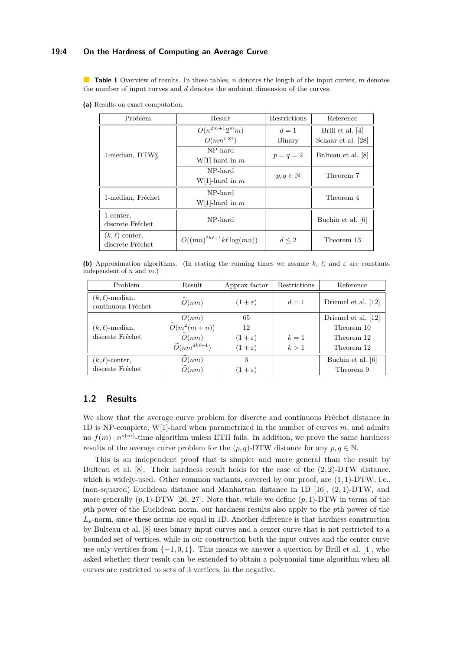### **19:4 On the Hardness of Computing an Average Curve**

<span id="page-3-0"></span>**Table 1** Overview of results. In these tables, *n* denotes the length of the input curves, *m* denotes the number of input curves and *d* denotes the ambient dimension of the curves.

**(a)** Results on exact computation.

| Problem                                  | Result<br>Restrictions            |                       | Reference          |
|------------------------------------------|-----------------------------------|-----------------------|--------------------|
| 1-median, $DTW_p^q$                      | $O(n^{2m+1}2^m m)$                | $d=1$                 | Brill et al. [4]   |
|                                          | $O(mn^{1.87})$                    | Binary                | Schaar et al. [28] |
|                                          | NP-hard                           | $p = q = 2$           | Bulteau et al. [8] |
|                                          | W[1]-hard in $m$                  |                       |                    |
|                                          | NP-hard                           | $p, q \in \mathbb{N}$ | Theorem 7          |
|                                          | $W[1]$ -hard in m                 |                       |                    |
| 1-median, Fréchet                        | NP-hard                           |                       | Theorem 4          |
|                                          | $W[1]$ -hard in m                 |                       |                    |
| 1-center.                                | NP-hard                           |                       | Buchin et al. [6]  |
| discrete Fréchet                         |                                   |                       |                    |
| $(k, \ell)$ -center,<br>discrete Fréchet | $O((mn)^{2k\ell+1}k\ell\log(mn))$ | $d \leq 2$            | Theorem 13         |

**(b)** Approximation algorithms. (In stating the running times we assume  $k$ ,  $\ell$ , and  $\varepsilon$  are constants independent of *n* and *m*.)

| Problem                                    | Result                         | Approx factor     | Restrictions | Reference           |
|--------------------------------------------|--------------------------------|-------------------|--------------|---------------------|
| $(k, \ell)$ -median,<br>continuous Fréchet | $\widetilde{O}(nm)$            | $(1+\varepsilon)$ | $d=1$        | Driemel et al. [12] |
| $(k, \ell)$ -median,<br>discrete Fréchet   | O(nm)                          | 65                |              | Driemel et al. [12] |
|                                            | $\widetilde{O}(m^2(m+n))$      | 12                |              | Theorem 10          |
|                                            | $\widetilde{O}(nm)$            | $(1+\varepsilon)$ | $k=1$        | Theorem 12          |
|                                            | $\widetilde{O}(nm^{dk\ell+1})$ | $(1+\varepsilon)$ | k>1          | Theorem 12          |
| $(k, \ell)$ -center,                       | O(nm)                          | 3                 |              | Buchin et al. [6]   |
| discrete Fréchet                           | $\widetilde{O}(nm)$            | $(1+\varepsilon)$ |              | Theorem 9           |

# **1.2 Results**

We show that the average curve problem for discrete and continuous Fréchet distance in 1D is NP-complete, W[1]-hard when parametrized in the number of curves *m*, and admits no  $f(m) \cdot n^{o(m)}$ -time algorithm unless ETH fails. In addition, we prove the same hardness results of the average curve problem for the  $(p, q)$ -DTW distance for any  $p, q \in \mathbb{N}$ .

This is an independent proof that is simpler and more general than the result by Bulteau et al. [\[8\]](#page-15-4). Their hardness result holds for the case of the (2*,* 2)-DTW distance, which is widely-used. Other common variants, covered by our proof, are (1*,* 1)-DTW, i.e., (non-squared) Euclidean distance and Manhattan distance in 1D [\[16\]](#page-15-13), (2*,* 1)-DTW, and more generally  $(p, 1)$ -DTW [\[26,](#page-16-5) [27\]](#page-16-6). Note that, while we define  $(p, 1)$ -DTW in terms of the *p*th power of the Euclidean norm, our hardness results also apply to the *p*th power of the  $L_p$ -norm, since these norms are equal in 1D. Another difference is that hardness construction by Bulteau et al. [\[8\]](#page-15-4) uses binary input curves and a center curve that is not restricted to a bounded set of vertices, while in our construction both the input curves and the center curve use only vertices from  $\{-1, 0, 1\}$ . This means we answer a question by Brill et al. [\[4\]](#page-15-6), who asked whether their result can be extended to obtain a polynomial time algorithm when all curves are restricted to sets of 3 vertices, in the negative.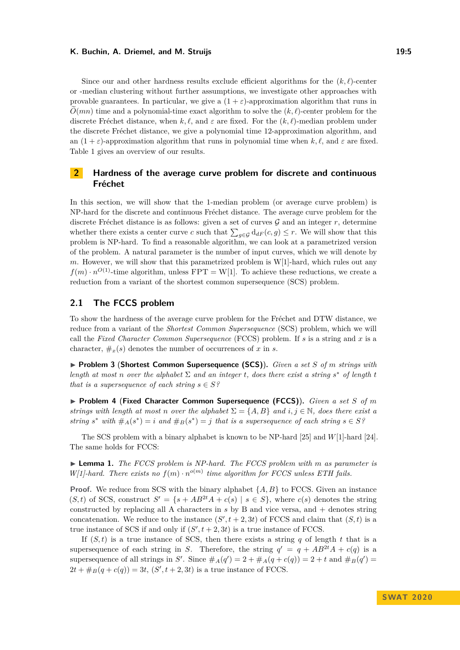#### **K. Buchin, A. Driemel, and M. Struijs 19:5** 19:5

Since our and other hardness results exclude efficient algorithms for the  $(k, \ell)$ -center or -median clustering without further assumptions, we investigate other approaches with provable guarantees. In particular, we give a  $(1 + \varepsilon)$ -approximation algorithm that runs in  $O(mn)$  time and a polynomial-time exact algorithm to solve the  $(k, \ell)$ -center problem for the discrete Fréchet distance, when  $k, \ell$ , and  $\varepsilon$  are fixed. For the  $(k, \ell)$ -median problem under the discrete Fréchet distance, we give a polynomial time 12-approximation algorithm, and an  $(1 + \varepsilon)$ -approximation algorithm that runs in polynomial time when  $k, \ell$ , and  $\varepsilon$  are fixed. Table [1](#page-3-0) gives an overview of our results.

# **2 Hardness of the average curve problem for discrete and continuous Fréchet**

In this section, we will show that the 1-median problem (or average curve problem) is NP-hard for the discrete and continuous Fréchet distance. The average curve problem for the discrete Fréchet distance is as follows: given a set of curves  $G$  and an integer  $r$ , determine whether there exists a center curve *c* such that  $\sum_{g \in \mathcal{G}} d_{dF}(c, g) \leq r$ . We will show that this problem is NP-hard. To find a reasonable algorithm, we can look at a parametrized version of the problem. A natural parameter is the number of input curves, which we will denote by *m*. However, we will show that this parametrized problem is W[1]-hard, which rules out any  $f(m) \cdot n^{O(1)}$ -time algorithm, unless FPT = W[1]. To achieve these reductions, we create a reduction from a variant of the shortest common supersequence (SCS) problem.

## **2.1 The FCCS problem**

To show the hardness of the average curve problem for the Fréchet and DTW distance, we reduce from a variant of the *Shortest Common Supersequence* (SCS) problem, which we will call the *Fixed Character Common Supersequence* (FCCS) problem. If *s* is a string and *x* is a character,  $\#_x(s)$  denotes the number of occurrences of x in s.

▶ **Problem 3 (Shortest Common Supersequence (SCS)).** *Given a set S of m strings with length at most n over the alphabet*  $\Sigma$  *and an integer t, does there exist a string*  $s^*$  *of length t that is a supersequence of each string*  $s \in S$ ?

▶ Problem 4 (Fixed Character Common Supersequence (FCCS)). *Given a set S of m strings with length at most n over the alphabet*  $\Sigma = \{A, B\}$  *and*  $i, j \in \mathbb{N}$ *, does there exist a string*  $s^*$  *with*  $#_A(s^*) = i$  *and*  $#_B(s^*) = j$  *that is a supersequence of each string*  $s \in S^g$ 

The SCS problem with a binary alphabet is known to be NP-hard [\[25\]](#page-16-7) and *W*[1]-hard [\[24\]](#page-16-8). The same holds for FCCS:

<span id="page-4-0"></span>► **Lemma 1.** *The FCCS problem is NP-hard. The FCCS problem with m as parameter is W*[1]-hard. There exists no  $f(m) \cdot n^{o(m)}$  time algorithm for FCCS unless ETH fails.

**Proof.** We reduce from SCS with the binary alphabet  $\{A, B\}$  to FCCS. Given an instance  $(S, t)$  of SCS, construct  $S' = \{s + AB^{2t}A + c(s) \mid s \in S\}$ , where  $c(s)$  denotes the string constructed by replacing all A characters in *s* by B and vice versa, and + denotes string concatenation. We reduce to the instance  $(S', t + 2, 3t)$  of FCCS and claim that  $(S, t)$  is a true instance of SCS if and only if  $(S', t + 2, 3t)$  is a true instance of FCCS.

If  $(S, t)$  is a true instance of SCS, then there exists a string *q* of length *t* that is a supersequence of each string in *S*. Therefore, the string  $q' = q + AB^{2t}A + c(q)$  is a supersequence of all strings in *S'*. Since  $\#_A(q') = 2 + \#_A(q + c(q)) = 2 + t$  and  $\#_B(q') = 2 + t$  $2t + \#_B(q + c(q)) = 3t, (S', t + 2, 3t)$  is a true instance of FCCS.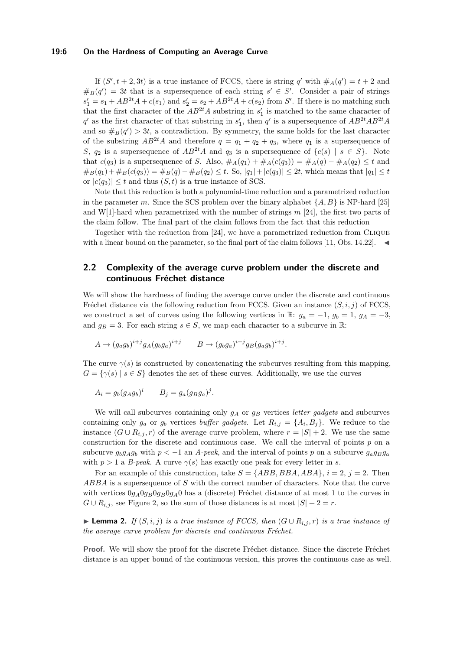#### **19:6 On the Hardness of Computing an Average Curve**

If  $(S', t + 2, 3t)$  is a true instance of FCCS, there is string *q*' with  $\#_A(q') = t + 2$  and  $#_B(q') = 3t$  that is a supersequence of each string  $s' \in S'$ . Consider a pair of strings  $s'_1 = s_1 + AB^{2t}A + c(s_1)$  and  $s'_2 = s_2 + AB^{2t}A + c(s_2)$  from *S'*. If there is no matching such that the first character of the  $AB^{2t}A$  substring in  $s'_1$  is matched to the same character of  $q'$  as the first character of that substring in  $s'_1$ , then  $q'$  is a supersequence of  $AB^{2t}AB^{2t}A$ and so  $#_B(q') > 3t$ , a contradiction. By symmetry, the same holds for the last character of the substring  $AB^{2t}A$  and therefore  $q = q_1 + q_2 + q_3$ , where  $q_1$  is a supersequence of *S*,  $q_2$  is a supersequence of  $AB^{2t}A$  and  $q_3$  is a supersequence of  $\{c(s) | s \in S\}$ . Note that  $c(q_3)$  is a supersequence of *S*. Also,  $\#_A(q_1) + \#_A(c(q_3)) = \#_A(q) - \#_A(q_2) \le t$  and  $#_B(q_1) + #_B(c(q_3)) = #_B(q) - #_B(q_2) \leq t$ . So,  $|q_1| + |c(q_3)| \leq 2t$ , which means that  $|q_1| \leq t$ or  $|c(q_3)| \leq t$  and thus  $(S, t)$  is a true instance of SCS.

Note that this reduction is both a polynomial-time reduction and a parametrized reduction in the parameter *m*. Since the SCS problem over the binary alphabet {*A, B*} is NP-hard [\[25\]](#page-16-7) and W[1]-hard when parametrized with the number of strings *m* [\[24\]](#page-16-8), the first two parts of the claim follow. The final part of the claim follows from the fact that this reduction

Together with the reduction from [\[24\]](#page-16-8), we have a parametrized reduction from Clique with a linear bound on the parameter, so the final part of the claim follows [\[11,](#page-15-10) Obs. 14.22].

# **2.2 Complexity of the average curve problem under the discrete and continuous Fréchet distance**

We will show the hardness of finding the average curve under the discrete and continuous Fréchet distance via the following reduction from FCCS. Given an instance  $(S, i, j)$  of FCCS, we construct a set of curves using the following vertices in R:  $g_a = -1$ ,  $g_b = 1$ ,  $g_A = -3$ , and  $g_B = 3$ . For each string  $s \in S$ , we map each character to a subcurve in R:

$$
A \to (g_a g_b)^{i+j} g_A (g_b g_a)^{i+j} \qquad B \to (g_b g_a)^{i+j} g_B (g_a g_b)^{i+j}
$$

The curve  $\gamma(s)$  is constructed by concatenating the subcurves resulting from this mapping,  $G = \{ \gamma(s) \mid s \in S \}$  denotes the set of these curves. Additionally, we use the curves

*.*

$$
A_i = g_b (g_A g_b)^i \qquad B_j = g_a (g_B g_a)^j.
$$

We will call subcurves containing only *g<sup>A</sup>* or *g<sup>B</sup>* vertices *letter gadgets* and subcurves containing only  $g_a$  or  $g_b$  vertices *buffer gadgets*. Let  $R_{i,j} = \{A_i, B_j\}$ . We reduce to the instance  $(G \cup R_{i,j}, r)$  of the average curve problem, where  $r = |S| + 2$ . We use the same construction for the discrete and continuous case. We call the interval of points *p* on a subcurve  $g_b g_A g_b$  with  $p < -1$  an *A-peak*, and the interval of points *p* on a subcurve  $g_a g_B g_a$ with  $p > 1$  a *B-peak*. A curve  $\gamma(s)$  has exactly one peak for every letter in *s*.

For an example of this construction, take  $S = \{ABB, BBA, ABA\}, i = 2, j = 2$ . Then *ABBA* is a supersequence of *S* with the correct number of characters. Note that the curve with vertices  $0g_A0g_B0g_B0g_A0$  has a (discrete) Fréchet distance of at most 1 to the curves in *G* ∪  $R$ <sup>*i,j*</sup>, see Figure [2,](#page-6-0) so the sum of those distances is at most  $|S| + 2 = r$ .

<span id="page-5-0"></span>► **Lemma 2.** *If*  $(S, i, j)$  *is a true instance of FCCS, then*  $(G \cup R_{i,j}, r)$  *is a true instance of the average curve problem for discrete and continuous Fréchet.*

**Proof.** We will show the proof for the discrete Fréchet distance. Since the discrete Fréchet distance is an upper bound of the continuous version, this proves the continuous case as well.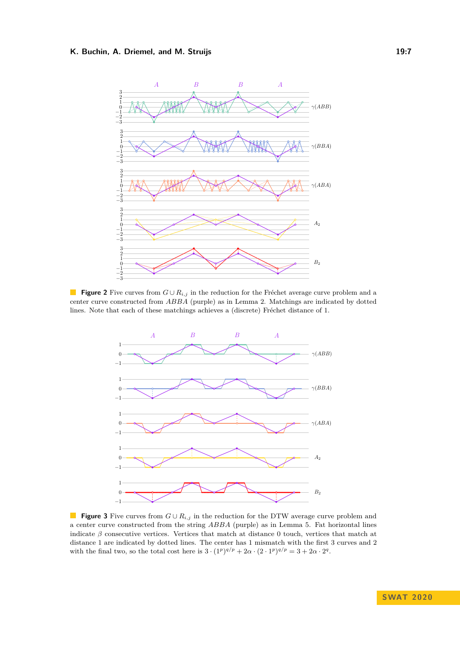#### <span id="page-6-0"></span>**K. Buchin, A. Driemel, and M. Struijs 19:7 19:7 19:7**



**Figure 2** Five curves from *G* ∪ *Ri,j* in the reduction for the Fréchet average curve problem and a center curve constructed from *ABBA* (purple) as in Lemma [2.](#page-5-0) Matchings are indicated by dotted lines. Note that each of these matchings achieves a (discrete) Fréchet distance of 1.

<span id="page-6-1"></span>

■ **Figure 3** Five curves from  $G \cup R_{i,j}$  in the reduction for the DTW average curve problem and a center curve constructed from the string *ABBA* (purple) as in Lemma [5.](#page-8-0) Fat horizontal lines indicate  $\beta$  consecutive vertices. Vertices that match at distance 0 touch, vertices that match at distance 1 are indicated by dotted lines. The center has 1 mismatch with the first 3 curves and 2 with the final two, so the total cost here is  $3 \cdot (1^p)^{q/p} + 2\alpha \cdot (2 \cdot 1^p)^{q/p} = 3 + 2\alpha \cdot 2^q$ .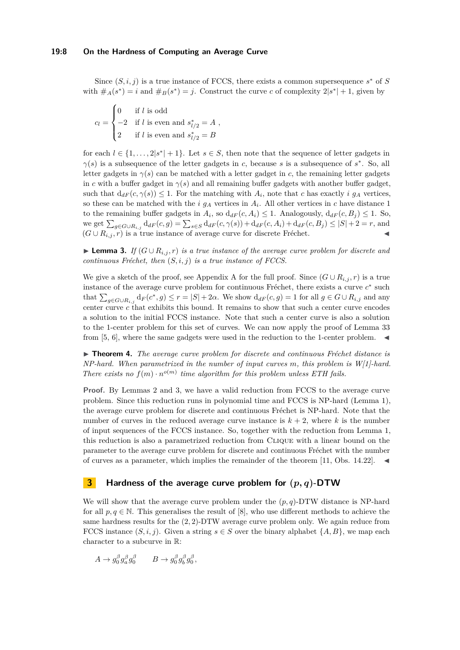Since  $(S, i, j)$  is a true instance of FCCS, there exists a common supersequence  $s^*$  of *S* with  $\#_A(s^*) = i$  and  $\#_B(s^*) = j$ . Construct the curve *c* of complexity  $2|s^*| + 1$ , given by

 $c_l =$  $\sqrt{ }$  $\int$  $\overline{\mathcal{L}}$ 0 if *l* is odd  $-2$  if *l* is even and  $s^*_{l/2} = A$ 2 if *l* is even and  $s^*_{l/2} = B$ *,*

for each  $l \in \{1, ..., 2|s^*| + 1\}$ . Let  $s \in S$ , then note that the sequence of letter gadgets in  $\gamma(s)$  is a subsequence of the letter gadgets in *c*, because *s* is a subsequence of  $s^*$ . So, all letter gadgets in  $\gamma(s)$  can be matched with a letter gadget in *c*, the remaining letter gadgets in *c* with a buffer gadget in  $\gamma(s)$  and all remaining buffer gadgets with another buffer gadget, such that  $d_{dF}(c, \gamma(s)) \leq 1$ . For the matching with  $A_i$ , note that *c* has exactly *i*  $g_A$  vertices, so these can be matched with the *i*  $g_A$  vertices in  $A_i$ . All other vertices in *c* have distance 1 to the remaining buffer gadgets in  $A_i$ , so  $d_{dF}(c, A_i) \leq 1$ . Analogously,  $d_{dF}(c, B_j) \leq 1$ . So, we get  $\sum_{g \in G \cup R_{i,j}} d_{dF}(c,g) = \sum_{s \in S} d_{dF}(c,\gamma(s)) + d_{dF}(c,A_i) + d_{dF}(c,B_j) \leq |S| + 2 = r$ , and  $(G \cup R_{i,j}, r)$  is a true instance of average curve for discrete Fréchet.

<span id="page-7-1"></span>**► Lemma 3.** *If*  $(G \cup R_{i,j}, r)$  *is a true instance of the average curve problem for discrete and continuous Fréchet, then*  $(S, i, j)$  *is a true instance of FCCS.* 

We give a sketch of the proof, see [A](#page-16-9)ppendix A for the full proof. Since  $(G \cup R_{i,j}, r)$  is a true instance of the average curve problem for continuous Fréchet, there exists a curve  $c^*$  such that  $\sum_{g \in G \cup R_{i,j}} d_F(c^*, g) \le r = |S| + 2\alpha$ . We show  $d_{dF}(c, g) = 1$  for all  $g \in G \cup R_{i,j}$  and any center curve *c* that exhibits this bound. It remains to show that such a center curve encodes a solution to the initial FCCS instance. Note that such a center curve is also a solution to the 1-center problem for this set of curves. We can now apply the proof of Lemma 33 from [\[5,](#page-15-14) [6\]](#page-15-3), where the same gadgets were used in the reduction to the 1-center problem.

<span id="page-7-0"></span>I **Theorem 4.** *The average curve problem for discrete and continuous Fréchet distance is NP-hard. When parametrized in the number of input curves m, this problem is W[1]-hard. There exists no*  $f(m) \cdot n^{o(m)}$  *time algorithm for this problem unless ETH fails.* 

**Proof.** By Lemmas [2](#page-5-0) and [3,](#page-7-1) we have a valid reduction from FCCS to the average curve problem. Since this reduction runs in polynomial time and FCCS is NP-hard (Lemma [1\)](#page-4-0), the average curve problem for discrete and continuous Fréchet is NP-hard. Note that the number of curves in the reduced average curve instance is  $k + 2$ , where k is the number of input sequences of the FCCS instance. So, together with the reduction from Lemma [1,](#page-4-0) this reduction is also a parametrized reduction from Clique with a linear bound on the parameter to the average curve problem for discrete and continuous Fréchet with the number of curves as a parameter, which implies the remainder of the theorem [\[11,](#page-15-10) Obs. 14.22].

# **3 Hardness of the average curve problem for (***p, q***)-DTW**

We will show that the average curve problem under the  $(p, q)$ -DTW distance is NP-hard for all  $p, q \in \mathbb{N}$ . This generalises the result of [\[8\]](#page-15-4), who use different methods to achieve the same hardness results for the (2*,* 2)-DTW average curve problem only. We again reduce from FCCS instance  $(S, i, j)$ . Given a string  $s \in S$  over the binary alphabet  $\{A, B\}$ , we map each character to a subcurve in R:

$$
A \to g_0^{\beta} g_a^{\beta} g_0^{\beta} \qquad B \to g_0^{\beta} g_b^{\beta} g_0^{\beta},
$$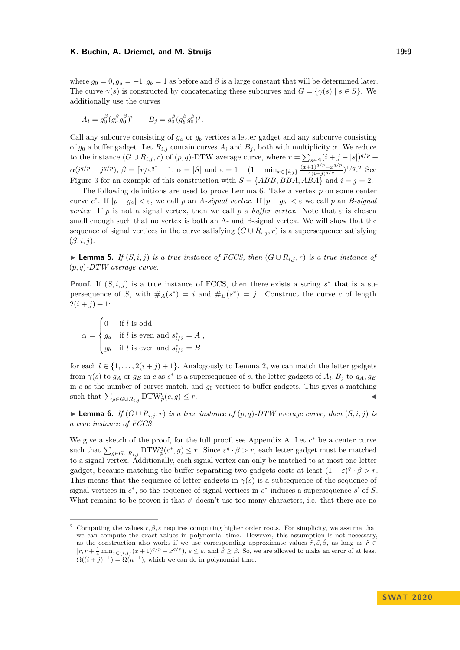#### **K. Buchin, A. Driemel, and M. Struijs 19:9 19:9 19:9**

where  $g_0 = 0, g_a = -1, g_b = 1$  as before and  $\beta$  is a large constant that will be determined later. The curve  $\gamma(s)$  is constructed by concatenating these subcurves and  $G = {\gamma(s) | s \in S}$ . We additionally use the curves

$$
A_i = g_0^{\beta} (g_a^{\beta} g_0^{\beta})^i \qquad B_j = g_0^{\beta} (g_b^{\beta} g_0^{\beta})^j.
$$

Call any subcurve consisting of  $g_a$  or  $g_b$  vertices a letter gadget and any subcurve consisting of  $g_0$  a buffer gadget. Let  $R_{i,j}$  contain curves  $A_i$  and  $B_j$ , both with multiplicity  $\alpha$ . We reduce to the instance  $(G \cup R_{i,j}, r)$  of  $(p, q)$ -DTW average curve, where  $r = \sum_{s \in S} (i + j - |s|)^{q/p}$  +  $\alpha(i^{q/p} + j^{q/p}), \beta = \lceil r/\varepsilon^q \rceil + 1, \alpha = |S| \text{ and } \varepsilon = 1 - (1 - \min_{x \in \{i,j\}} \frac{(x+1)^{q/p} - x^{q/p}}{4(i+1)^{q/p}}$  $\frac{(4+i)^{q/p}-x^{q/p}}{4(i+j)^{q/p}}$ <sup>1/q</sup><sup>[2](#page-8-1)</sup> See Figure [3](#page-6-1) for an example of this construction with  $S = \{ABB, BBA, AB\}$  and  $i = j = 2$ .

The following definitions are used to prove Lemma [6.](#page-8-2) Take a vertex *p* on some center curve  $c^*$ . If  $|p - g_a| < \varepsilon$ , we call *p* an *A-signal vertex*. If  $|p - g_b| < \varepsilon$  we call *p* an *B-signal vertex.* If *p* is not a signal vertex, then we call *p* a *buffer vertex*. Note that  $\varepsilon$  is chosen small enough such that no vertex is both an A- and B-signal vertex. We will show that the sequence of signal vertices in the curve satisfying  $(G \cup R_{i,j}, r)$  is a supersequence satisfying (*S, i, j*).

<span id="page-8-0"></span>► **Lemma 5.** *If*  $(S, i, j)$  *is a true instance of FCCS, then*  $(G \cup R_{i,j}, r)$  *is a true instance of* (*p, q*)*-DTW average curve.*

**Proof.** If  $(S, i, j)$  is a true instance of FCCS, then there exists a string  $s^*$  that is a supersequence of *S*, with  $#_A(s^*) = i$  and  $#_B(s^*) = j$ . Construct the curve *c* of length  $2(i+j)+1$ :

$$
c_l = \begin{cases} 0 & \text{if } l \text{ is odd} \\ g_a & \text{if } l \text{ is even and } s_{l/2}^* = A \\ g_b & \text{if } l \text{ is even and } s_{l/2}^* = B \end{cases}
$$

for each  $l \in \{1, \ldots, 2(i+j)+1\}$ . Analogously to Lemma [2,](#page-5-0) we can match the letter gadgets from  $\gamma(s)$  to  $g_A$  or  $g_B$  in *c* as  $s^*$  is a supersequence of *s*, the letter gadgets of  $A_i$ ,  $B_j$  to  $g_A$ ,  $g_B$ in  $c$  as the number of curves match, and  $g_0$  vertices to buffer gadgets. This gives a matching such that  $\sum_{g \in G \cup R_{i,j}} DTW_p^q(c, g) \leq r$ .

<span id="page-8-2"></span>► **Lemma 6.** *If*  $(G \cup R_{i,j}, r)$  *is a true instance of*  $(p, q)$ *-DTW average curve, then*  $(S, i, j)$  *is a true instance of FCCS.*

We give a sketch of the proof, for the full proof, see Appendix [A.](#page-16-9) Let *c* <sup>∗</sup> be a center curve such that  $\sum_{g \in G \cup R_{i,j}} DTW_p^q(c^*,g) \leq r$ . Since  $\varepsilon^q \cdot \beta > r$ , each letter gadget must be matched to a signal vertex. Additionally, each signal vertex can only be matched to at most one letter gadget, because matching the buffer separating two gadgets costs at least  $(1 - \varepsilon)^q \cdot \beta > r$ . This means that the sequence of letter gadgets in  $\gamma(s)$  is a subsequence of the sequence of signal vertices in  $c^*$ , so the sequence of signal vertices in  $c^*$  induces a supersequence  $s'$  of  $S$ . What remains to be proven is that *s'* doesn't use too many characters, i.e. that there are no

<span id="page-8-1"></span><sup>&</sup>lt;sup>2</sup> Computing the values  $r, \beta, \varepsilon$  requires computing higher order roots. For simplicity, we assume that we can compute the exact values in polynomial time. However, this assumption is not necessary, as the construction also works if we use corresponding approximate values  $\tilde{r}, \tilde{\varepsilon}, \tilde{\beta}$ , as long as  $\tilde{r} \in$  $[r, r + \frac{1}{4} \min_{x \in \{i, j\}} (x+1)^{q/p} - x^{q/p}), \tilde{\varepsilon} \leq \varepsilon$ , and  $\tilde{\beta} \geq \beta$ . So, we are allowed to make an error of at least  $\Omega((i+j)^{-1}) = \Omega(n^{-1})$ , which we can do in polynomial time.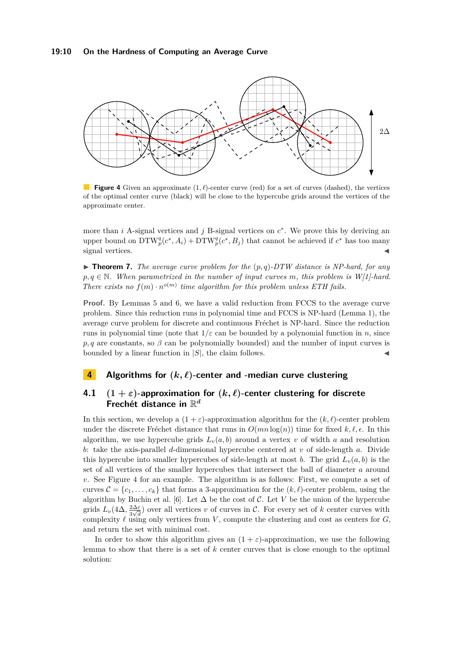#### **19:10 On the Hardness of Computing an Average Curve**

<span id="page-9-1"></span>

**Figure 4** Given an approximate  $(1, \ell)$ -center curve (red) for a set of curves (dashed), the vertices of the optimal center curve (black) will be close to the hypercube grids around the vertices of the approximate center.

more than  $i$  A-signal vertices and  $j$  B-signal vertices on  $c^*$ . We prove this by deriving an upper bound on  $DTW_p^q(c^*, A_i) + DTW_p^q(c^*, B_j)$  that cannot be achieved if  $c^*$  has too many signal vertices.

<span id="page-9-0"></span> $\triangleright$  **Theorem 7.** *The average curve problem for the*  $(p,q)$ *-DTW distance is NP-hard, for any p, q* ∈ N*. When parametrized in the number of input curves m, this problem is W[1]-hard. There exists no*  $f(m) \cdot n^{o(m)}$  *time algorithm for this problem unless ETH fails.* 

**Proof.** By Lemmas [5](#page-8-0) and [6,](#page-8-2) we have a valid reduction from FCCS to the average curve problem. Since this reduction runs in polynomial time and FCCS is NP-hard (Lemma [1\)](#page-4-0), the average curve problem for discrete and continuous Fréchet is NP-hard. Since the reduction runs in polynomial time (note that  $1/\varepsilon$  can be bounded by a polynomial function in *n*, since  $p, q$  are constants, so  $\beta$  can be polynomially bounded) and the number of input curves is bounded by a linear function in  $|S|$ , the claim follows.

# **4 Algorithms for**  $(k, \ell)$ -center and -median curve clustering

# <span id="page-9-2"></span>**4.1**  $(1 + \varepsilon)$ -approximation for  $(k, \ell)$ -center clustering for discrete **Frechét distance in** R *d*

In this section, we develop a  $(1 + \varepsilon)$ -approximation algorithm for the  $(k, \ell)$ -center problem under the discrete Fréchet distance that runs in  $O(mn \log(n))$  time for fixed  $k, \ell, \epsilon$ . In this algorithm, we use hypercube grids  $L_v(a, b)$  around a vertex *v* of width *a* and resolution *b*: take the axis-parallel *d*-dimensional hypercube centered at *v* of side-length *a*. Divide this hypercube into smaller hypercubes of side-length at most *b*. The grid  $L_v(a, b)$  is the set of all vertices of the smaller hypercubes that intersect the ball of diameter *a* around *v*. See Figure [4](#page-9-1) for an example. The algorithm is as follows: First, we compute a set of curves  $\mathcal{C} = \{c_1, \ldots, c_k\}$  that forms a 3-approximation for the  $(k, \ell)$ -center problem, using the algorithm by Buchin et al. [\[6\]](#page-15-3). Let  $\Delta$  be the cost of  $\mathcal{C}$ . Let  $V$  be the union of the hypercube grids  $L_v(4\Delta, \frac{2\Delta\varepsilon}{3\sqrt{d}})$  $\frac{2\Delta\varepsilon}{3\sqrt{d}}$  over all vertices *v* of curves in C. For every set of *k* center curves with complexity  $\ell$  using only vertices from *V*, compute the clustering and cost as centers for *G*, and return the set with minimal cost.

In order to show this algorithm gives an  $(1 + \varepsilon)$ -approximation, we use the following lemma to show that there is a set of *k* center curves that is close enough to the optimal solution: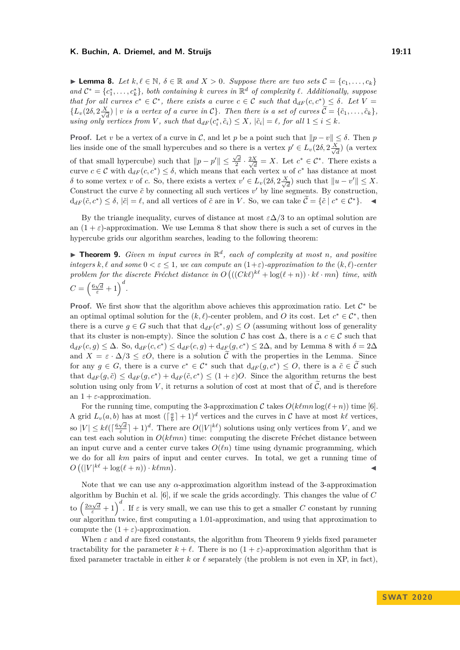#### **K. Buchin, A. Driemel, and M. Struijs 19:11** 19:11

<span id="page-10-1"></span>► **Lemma 8.** Let  $k, l \in \mathbb{N}$ ,  $\delta \in \mathbb{R}$  and  $X > 0$ . Suppose there are two sets  $C = \{c_1, \ldots, c_k\}$  $\mathcal{C}^* = \{c_1^*, \ldots, c_k^*\},$  both containing  $k$  *curves in*  $\mathbb{R}^d$  *of complexity*  $\ell$ *. Additionally, suppose that for all curves*  $c^* \in C^*$ , there exists a curve  $c \in C$  such that  $d_{dF}(c, c^*) \leq \delta$ . Let  $V =$  $\{L_v(2\delta, 2\frac{X}{\sqrt{2}})\}$  $\frac{d}{d}$  | *v is a vertex of a curve in*  $C$ }. Then there *is a set of curves*  $C = \{\tilde{c}_1, \ldots, \tilde{c}_k\}$ *, using only vertices from* V, such that  $d_{dF}(c_i^*, \tilde{c}_i) \leq X$ ,  $|\tilde{c}_i| = \ell$ , for all  $1 \leq i \leq k$ .

**Proof.** Let *v* be a vertex of a curve in C, and let p be a point such that  $||p - v|| \le \delta$ . Then p lies inside one of the small hypercubes and so there is a vertex  $p' \in L_v(2\delta, 2\frac{X}{\sqrt{2\delta}})$  $\frac{d}{d}$ ) (a vertex of that small hypercube) such that  $\|p - p'\| \leq \frac{\sqrt{d}}{2} \cdot \frac{2X}{\sqrt{d}}$  $\frac{X}{d} = X$ . Let  $c^* \in C^*$ . There exists a curve  $c \in \mathcal{C}$  with  $d_{dF}(c, c^*) \leq \delta$ , which means that each vertex *u* of  $c^*$  has distance at most *δ* to some vertex *v* of *c*. So, there exists a vertex *v*<sup> $′$ </sup> ∈ *L<sub><i>v*</sub>(2*δ*, 2 $\frac{X}{\sqrt{2}}$  $\frac{d}{d\overline{d}}$ ) such that  $||u - v'|| \leq X$ . Construct the curve  $\tilde{c}$  by connecting all such vertices  $v'$  by line segments. By construction,  $d_{dF}(\tilde{c}, c^*) \leq \delta, |\tilde{c}| = \ell$ , and all vertices of  $\tilde{c}$  are in *V*. So, we can take  $\tilde{C} = {\tilde{c} \mid c^* \in C^*}.$ 

By the triangle inequality, curves of distance at most  $\varepsilon \Delta/3$  to an optimal solution are an  $(1 + \varepsilon)$ -approximation. We use Lemma [8](#page-10-1) that show there is such a set of curves in the hypercube grids our algorithm searches, leading to the following theorem:

<span id="page-10-0"></span> $\triangleright$  **Theorem 9.** *Given m input curves in*  $\mathbb{R}^d$ *, each of complexity at most n, and positive integers*  $k, \ell$  *and some*  $0 < \varepsilon \leq 1$ *, we can compute an*  $(1+\varepsilon)$ *-approximation to the*  $(k, \ell)$ *-center* problem for the discrete Fréchet distance in  $O((Ck\ell)^{k\ell} + \log(\ell+n)) \cdot k\ell \cdot mn)$  time, with  $C = \left(\frac{6\sqrt{d}}{\varepsilon} + 1\right)^d$ .

**Proof.** We first show that the algorithm above achieves this approximation ratio. Let  $C^*$  be an optimal optimal solution for the  $(k, \ell)$ -center problem, and *O* its cost. Let  $c^* \in C^*$ , then there is a curve  $g \in G$  such that that  $d_{dF}(c^*, g) \leq O$  (assuming without loss of generality that its cluster is non-empty). Since the solution  $\mathcal C$  has cost  $\Delta$ , there is a  $c \in \mathcal C$  such that  $d_{dF}(c,g) \leq \Delta$ . So,  $d_{dF}(c,c^*) \leq d_{dF}(c,g) + d_{dF}(g,c^*) \leq 2\Delta$ , and by Lemma [8](#page-10-1) with  $\delta = 2\Delta$ and  $X = \varepsilon \cdot \Delta/3 \leq \varepsilon O$ , there is a solution  $\tilde{\mathcal{C}}$  with the properties in the Lemma. Since for any  $g \in G$ , there is a curve  $c^* \in C^*$  such that  $d_{dF}(g, c^*) \leq O$ , there is a  $\tilde{c} \in \tilde{C}$  such that  $d_{dF}(g, \tilde{c}) \leq d_{dF}(g, c^*) + d_{dF}(\tilde{c}, c^*) \leq (1 + \varepsilon)O$ . Since the algorithm returns the best solution using only from *V*, it returns a solution of cost at most that of  $\tilde{C}$ , and is therefore an  $1 + \varepsilon$ -approximation.

For the running time, computing the 3-approximation C takes  $O(k\ell mn \log(\ell+n))$  time [\[6\]](#page-15-3). A grid  $L_v(a, b)$  has at most  $(\lceil \frac{a}{b} \rceil + 1)^d$  vertices and the curves in C have at most  $k\ell$  vertices, so  $|V| \leq k\ell\left(\left\lceil \frac{6\sqrt{d}}{\varepsilon} \right\rceil + 1\right)^d$ . There are  $O(|V|^{k\ell})$  solutions using only vertices from *V*, and we can test each solution in  $O(k\ell mn)$  time: computing the discrete Fréchet distance between an input curve and a center curve takes  $O(\ell n)$  time using dynamic programming, which we do for all *km* pairs of input and center curves. In total, we get a running time of  $O\left((|V|^{k\ell} + \log(\ell+n)) \cdot k\ell mn\right)$ . John Paris, John Paris, John Paris, John Paris, John Paris, John Paris, John Paris, John Paris, John Paris,

Note that we can use any *α*-approximation algorithm instead of the 3-approximation algorithm by Buchin et al. [\[6\]](#page-15-3), if we scale the grids accordingly. This changes the value of *C* to  $\left(\frac{2\alpha\sqrt{d}}{\varepsilon}+1\right)^d$ . If  $\varepsilon$  is very small, we can use this to get a smaller *C* constant by running our algorithm twice, first computing a 1*.*01-approximation, and using that approximation to compute the  $(1 + \varepsilon)$ -approximation.

When  $\varepsilon$  and *d* are fixed constants, the algorithm from Theorem [9](#page-10-0) yields fixed parameter tractability for the parameter  $k + \ell$ . There is no  $(1 + \varepsilon)$ -approximation algorithm that is fixed parameter tractable in either  $k$  or  $\ell$  separately (the problem is not even in XP, in fact),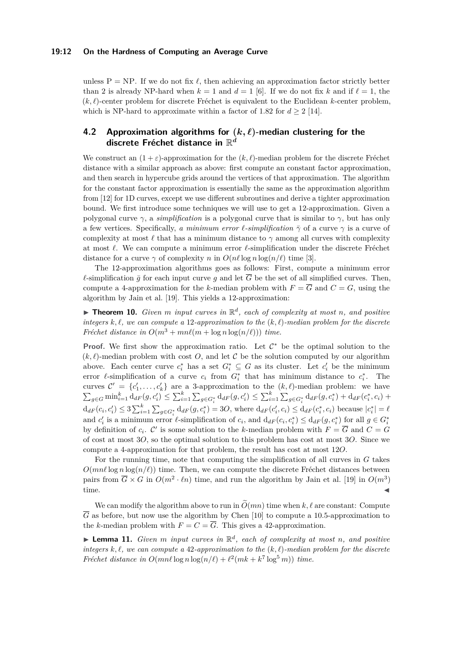#### **19:12 On the Hardness of Computing an Average Curve**

unless  $P = NP$ . If we do not fix  $\ell$ , then achieving an approximation factor strictly better than 2 is already NP-hard when  $k = 1$  and  $d = 1$  [\[6\]](#page-15-3). If we do not fix k and if  $\ell = 1$ , the  $(k, \ell)$ -center problem for discrete Fréchet is equivalent to the Euclidean *k*-center problem, which is NP-hard to approximate within a factor of 1.82 for  $d \geq 2$  [\[14\]](#page-15-15).

# <span id="page-11-1"></span>**4.2 Approximation algorithms for**  $(k, \ell)$ -median clustering for the **discrete Fréchet distance in** R *d*

We construct an  $(1 + \varepsilon)$ -approximation for the  $(k, \ell)$ -median problem for the discrete Fréchet distance with a similar approach as above: first compute an constant factor approximation, and then search in hypercube grids around the vertices of that approximation. The algorithm for the constant factor approximation is essentially the same as the approximation algorithm from [\[12\]](#page-15-12) for 1D curves, except we use different subroutines and derive a tighter approximation bound. We first introduce some techniques we will use to get a 12-approximation. Given a polygonal curve  $\gamma$ , a *simplification* is a polygonal curve that is similar to  $\gamma$ , but has only a few vertices. Specifically, *a minimum error*  $\ell$ -simplification  $\bar{\gamma}$  of a curve  $\gamma$  is a curve of complexity at most  $\ell$  that has a minimum distance to  $\gamma$  among all curves with complexity at most  $\ell$ . We can compute a minimum error  $\ell$ -simplification under the discrete Fréchet distance for a curve  $\gamma$  of complexity *n* in  $O(n\ell \log n \log(n/\ell))$  time [\[3\]](#page-15-16).

The 12-approximation algorithms goes as follows: First, compute a minimum error  $\ell$ -simplification  $\bar{g}$  for each input curve *g* and let  $\bar{G}$  be the set of all simplified curves. Then, compute a 4-approximation for the *k*-median problem with  $F = \overline{G}$  and  $C = G$ , using the algorithm by Jain et al. [\[19\]](#page-15-9). This yields a 12-approximation:

<span id="page-11-0"></span> $\blacktriangleright$  **Theorem 10.** *Given m input curves in*  $\mathbb{R}^d$ *, each of complexity at most n, and positive integers*  $k, \ell$ , we can compute a 12-approximation to the  $(k, \ell)$ -median problem for the discrete *Fréchet distance in*  $O(m^3 + mn\ell(m + \log n \log(n/\ell)))$  *time.* 

**Proof.** We first show the approximation ratio. Let  $\mathcal{C}^*$  be the optimal solution to the  $(k, \ell)$ -median problem with cost *O*, and let *C* be the solution computed by our algorithm above. Each center curve  $c_i^*$  has a set  $G_i^* \subseteq G$  as its cluster. Let  $c_i'$  be the minimum error  $\ell$ -simplification of a curve  $c_i$  from  $G_i^*$  that has minimum distance to  $c_i^*$ . The curves  $\mathcal{C}' = \{c'_1, \ldots, c'_k\}$  are a 3-approximation to the  $(k, \ell)$ -median problem: we have  $\sum_{g \in G} \min_{i=1}^k d_{dF}(g, c'_i) \leq \sum_{i=1}^k \sum_{g \in G_i^*} d_{dF}(g, c'_i) \leq \sum_{i=1}^k \sum_{g \in G_i^*} d_{dF}(g, c_i^*) + d_{dF}(c_i^*, c_i) +$  $d_{dF}(c_i, c'_i) \leq 3 \sum_{i=1}^k \sum_{g \in G_i^*} d_{dF}(g, c_i^*) = 3O$ , where  $d_{dF}(c'_i, c_i) \leq d_{dF}(c_i^*, c_i)$  because  $|c_i^*| = \ell$ and  $c'_i$  is a minimum error  $\ell$ -simplification of  $c_i$ , and  $d_{dF}(c_i, c_i^*) \leq d_{dF}(g, c_i^*)$  for all  $g \in G_i^*$ by definition of  $c_i$ . C' is some solution to the *k*-median problem with  $F = \overline{G}$  and  $C = G$ of cost at most 3*O*, so the optimal solution to this problem has cost at most 3*O*. Since we compute a 4-approximation for that problem, the result has cost at most 12*O*.

For the running time, note that computing the simplification of all curves in *G* takes  $O(mn\ell \log n \log(n/\ell))$  time. Then, we can compute the discrete Fréchet distances between pairs from  $\overline{G} \times G$  in  $O(m^2 \cdot \ell n)$  time, and run the algorithm by Jain et al. [\[19\]](#page-15-9) in  $O(m^3)$  $time.$   $\blacksquare$ 

We can modify the algorithm above to run in  $\tilde{O}(mn)$  time when  $k, \ell$  are constant: Compute  $\overline{G}$  as before, but now use the algorithm by Chen [\[10\]](#page-15-17) to compute a 10.5-approximation to the *k*-median problem with  $F = C = \overline{G}$ . This gives a 42-approximation.

 $\blacktriangleright$  **Lemma 11.** *Given m input curves in*  $\mathbb{R}^d$ *, each of complexity at most n, and positive integers*  $k, \ell$ , we can compute a 42-approximation to the  $(k, \ell)$ -median problem for the discrete *Fréchet distance in*  $O(mn\ell \log n \log(n/\ell) + \ell^2(mk + k^7 \log^5 m))$  *time.*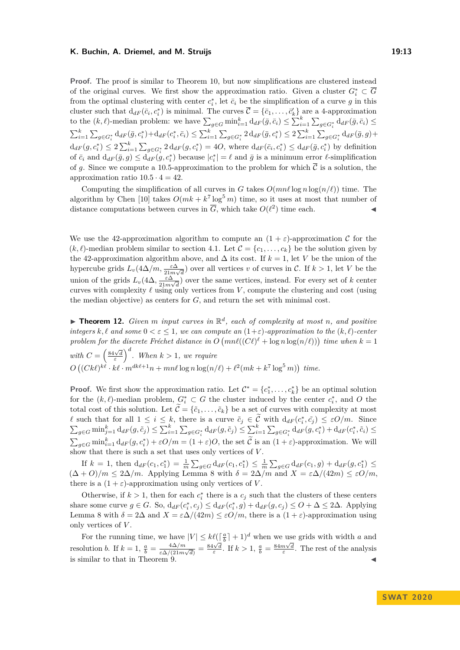#### **K. Buchin, A. Driemel, and M. Struijs 19:13**

**Proof.** The proof is similar to Theorem [10,](#page-11-0) but now simplifications are clustered instead of the original curves. We first show the approximation ratio. Given a cluster  $G_i^* \subset \overline{G}$ from the optimal clustering with center  $c_i^*$ , let  $\bar{c}_i$  be the simplification of a curve *g* in this cluster such that  $d_{dF}(\bar{c}_i, c_i^*)$  is minimal. The curves  $\bar{\mathcal{C}} = {\bar{c}_1, \ldots, \bar{c}'_k}$  are a 4-approximation to the  $(k, \ell)$ -median problem: we have  $\sum_{g \in G} \min_{i=1}^k d_{dF}(\bar{g}, \bar{c}_i) \le \sum_{i=1}^k \sum_{g \in G_i^*} d_{dF}(\bar{g}, \bar{c}_i) \le$  $\sum_{i=1}^{k} \sum_{g \in G_i^*} d_{dF}(\bar{g}, c_i^*) + d_{dF}(c_i^*, \bar{c}_i) \le \sum_{i=1}^{k} \sum_{g \in G_i^*} 2 d_{dF}(\bar{g}, c_i^*) \le 2 \sum_{i=1}^{k} \sum_{g \in G_i^*} d_{dF}(\bar{g}, g) +$  $d_{dF}(g,c_i^*) \leq 2\sum_{i=1}^k \sum_{g \in G_i^*} 2d_{dF}(g,c_i^*) = 4O$ , where  $d_{dF}(\bar{c}_i,c_i^*) \leq d_{dF}(\bar{g},c_i^*)$  by definition of  $\overline{c}_i$  and  $d_{dF}(\overline{g}, g) \leq d_{dF}(g, c_i^*)$  because  $|c_i^*| = \ell$  and  $\overline{g}$  is a minimum error  $\ell$ -simplification of g. Since we compute a 10.5-approximation to the problem for which  $\overline{C}$  is a solution, the approximation ratio  $10.5 \cdot 4 = 42$ .

Computing the simplification of all curves in *G* takes  $O(mn\ell \log n \log(n/\ell))$  time. The algorithm by Chen [\[10\]](#page-15-17) takes  $O(mk + k^7 \log^5 m)$  time, so it uses at most that number of distance computations between curves in  $\overline{G}$ , which take  $O(\ell^2)$  time each.

We use the 42-approximation algorithm to compute an  $(1 + \varepsilon)$ -approximation C for the  $(k, \ell)$ -median problem similar to section [4.1.](#page-9-2) Let  $\mathcal{C} = \{c_1, \ldots, c_k\}$  be the solution given by the 42-approximation algorithm above, and  $\Delta$  its cost. If  $k = 1$ , let *V* be the union of the hypercube grids  $L_v(4\Delta/m, \frac{\varepsilon \Delta}{21m\sqrt{d}})$  over all vertices *v* of curves in C. If  $k > 1$ , let *V* be the union of the grids  $L_v(4\Delta, \frac{\varepsilon \Delta}{21m})$  $\frac{\varepsilon \Delta}{21m\sqrt{d}}$  over the same vertices, instead. For every set of *k* center curves with complexity  $\ell$  using only vertices from *V*, compute the clustering and cost (using the median objective) as centers for *G*, and return the set with minimal cost.

<span id="page-12-0"></span> $\blacktriangleright$  **Theorem 12.** *Given m input curves in*  $\mathbb{R}^d$ *, each of complexity at most n, and positive integers*  $k, \ell$  *and some*  $0 < \varepsilon \leq 1$ *, we can compute an*  $(1+\varepsilon)$ *-approximation to the*  $(k, \ell)$ *-center* problem for the discrete Fréchet distance in  $O(mn\ell((C\ell)^{\ell} + \log n \log(n/\ell)))$  time when  $k = 1$ *with*  $C = \left(\frac{84\sqrt{d}}{\varepsilon}\right)^d$ . When  $k > 1$ , we require  $O((Ck\ell)^{k\ell} \cdot k\ell \cdot m^{dk\ell+1}n + mn\ell \log n \log(n/\ell) + \ell^2(mk + k^7 \log^5 m))$  time.

**Proof.** We first show the approximation ratio. Let  $\mathcal{C}^* = \{c_1^*, \ldots, c_k^*\}$  be an optimal solution for the  $(k, \ell)$ -median problem,  $G_i^* \subset G$  the cluster induced by the center  $c_i^*$ , and O the total cost of this solution. Let  $\widetilde{\mathcal{C}} = {\tilde{c}_1, \ldots, \tilde{c}_k}$  be a set of curves with complexity at most *l* such that for all  $1 \leq i \leq k$ , there is a curve  $\tilde{c}_j \in \tilde{\mathcal{C}}$  with  $d_{dF}(c_i^*, \tilde{c}_j) \leq \varepsilon O/m$ . Since  $\sum_{g \in G} \min_{j=1}^k d_{dF}(g, \tilde{c}_j) \le \sum_{i=1}^k \sum_{g \in G_i^*} d_{dF}(g, \tilde{c}_j) \le \sum_{i=1}^k \sum_{g \in G_i^*} d_{dF}(g, c_i^*) + d_{dF}(c_i^*, \tilde{c}_i) \le$  $\sum_{g \in G} \min_{i=1}^k d_{dF}(g, c_i^*) + \varepsilon O/m = (1 + \varepsilon)O$ , the set  $\widetilde{C}$  is an  $(1 + \varepsilon)$ -approximation. We will show that there is such a set that uses only vertices of *V* .

If  $k = 1$ , then  $d_{dF}(c_1, c_1^*) = \frac{1}{m} \sum_{g \in G} d_{dF}(c_1, c_1^*) \leq \frac{1}{m} \sum_{g \in G} d_{dF}(c_1, g) + d_{dF}(g, c_1^*) \leq$  $(\Delta + O)/m \leq 2\Delta/m$ . Applying Lemma [8](#page-10-1) with  $\delta = 2\Delta/m$  and  $X = \varepsilon \Delta/(42m) \leq \varepsilon O/m$ , there is a  $(1 + \varepsilon)$ -approximation using only vertices of *V*.

Otherwise, if  $k > 1$ , then for each  $c_i^*$  there is a  $c_j$  such that the clusters of these centers share some curve  $g \in G$ . So,  $d_{dF}(c_i^*, c_j) \leq d_{dF}(c_i^*, g) + d_{dF}(g, c_j) \leq O + \Delta \leq 2\Delta$ . Applying Lemma [8](#page-10-1) with  $\delta = 2\Delta$  and  $X = \varepsilon \Delta/(42m) \leq \varepsilon O/m$ , there is a  $(1 + \varepsilon)$ -approximation using only vertices of *V* .

For the running time, we have  $|V| \leq k\ell(\lceil \frac{a}{h} \rceil + 1)^d$  when we use grids with width *a* and *b* resolution *b*. If  $k = 1$ ,  $\frac{a}{b} = \frac{4\Delta/m}{\epsilon \Delta/(21m)}$  $\frac{4\Delta/m}{\epsilon\Delta/(21m\sqrt{d})} = \frac{84\sqrt{d}}{\epsilon}$ . If  $k > 1$ ,  $\frac{a}{b} = \frac{84m\sqrt{d}}{\epsilon}$ . The rest of the analysis is similar to that in Theorem [9.](#page-10-0)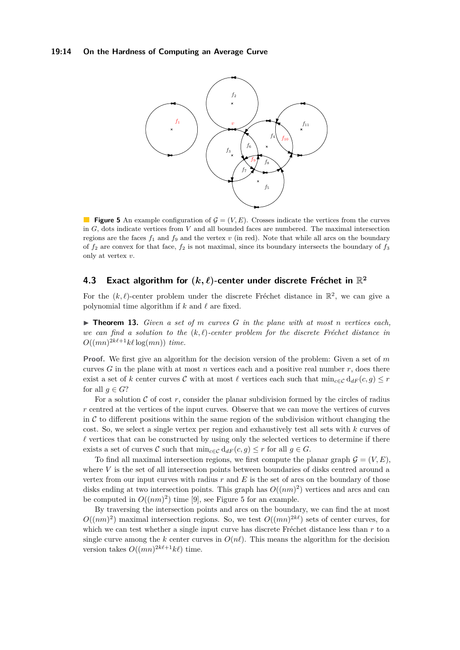#### <span id="page-13-1"></span>**19:14 On the Hardness of Computing an Average Curve**



**Figure 5** An example configuration of  $\mathcal{G} = (V, E)$ . Crosses indicate the vertices from the curves in *G*, dots indicate vertices from *V* and all bounded faces are numbered. The maximal intersection regions are the faces  $f_1$  and  $f_9$  and the vertex  $v$  (in red). Note that while all arcs on the boundary of  $f_2$  are convex for that face,  $f_2$  is not maximal, since its boundary intersects the boundary of  $f_3$ only at vertex *v*.

# **4.3** Exact algorithm for  $(k, \ell)$ -center under discrete Fréchet in  $\mathbb{R}^2$

For the  $(k, \ell)$ -center problem under the discrete Fréchet distance in  $\mathbb{R}^2$ , we can give a polynomial time algorithm if  $k$  and  $\ell$  are fixed.

<span id="page-13-0"></span> $\triangleright$  **Theorem 13.** *Given a set of m curves G in the plane with at most <i>n vertices each, we can find a solution to the*  $(k, \ell)$ -center problem for the discrete Fréchet distance in  $O((mn)^{2k\ell+1}k\ell \log(mn))$  *time.* 

**Proof.** We first give an algorithm for the decision version of the problem: Given a set of *m* curves *G* in the plane with at most *n* vertices each and a positive real number *r*, does there exist a set of *k* center curves C with at most  $\ell$  vertices each such that  $\min_{c \in \mathcal{C}} d_{dF}(c, g) \leq r$ for all  $q \in G$ ?

For a solution  $C$  of cost  $r$ , consider the planar subdivision formed by the circles of radius *r* centred at the vertices of the input curves. Observe that we can move the vertices of curves in  $\mathcal C$  to different positions within the same region of the subdivision without changing the cost. So, we select a single vertex per region and exhaustively test all sets with *k* curves of  $\ell$  vertices that can be constructed by using only the selected vertices to determine if there exists a set of curves C such that  $\min_{c \in \mathcal{C}} d_{dF}(c, g) \leq r$  for all  $g \in G$ .

To find all maximal intersection regions, we first compute the planar graph  $\mathcal{G} = (V, E)$ , where *V* is the set of all intersection points between boundaries of disks centred around a vertex from our input curves with radius  $r$  and  $E$  is the set of arcs on the boundary of those disks ending at two intersection points. This graph has  $O((nm)^2)$  vertices and arcs and can be computed in  $O((nm)^2)$  time [\[9\]](#page-15-18), see Figure [5](#page-13-1) for an example.

By traversing the intersection points and arcs on the boundary, we can find the at most  $O((nm)^2)$  maximal intersection regions. So, we test  $O((mn)^{2k\ell})$  sets of center curves, for which we can test whether a single input curve has discrete Fréchet distance less than *r* to a single curve among the *k* center curves in  $O(n\ell)$ . This means the algorithm for the decision version takes  $O((mn)^{2k\ell+1}k\ell)$  time.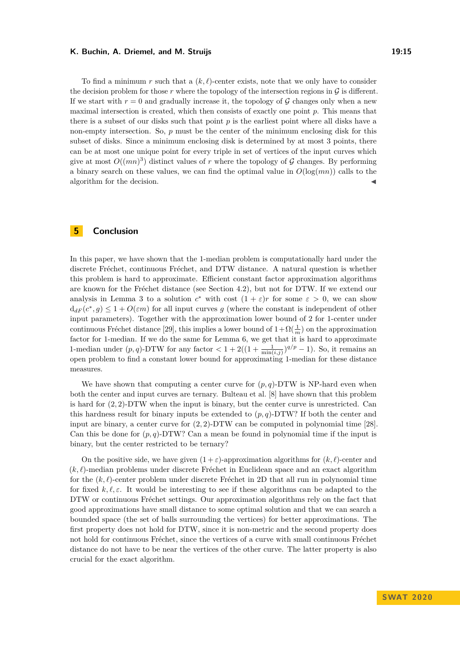#### **K. Buchin, A. Driemel, and M. Struijs 19:15** 19:15

To find a minimum r such that a  $(k, \ell)$ -center exists, note that we only have to consider the decision problem for those  $r$  where the topology of the intersection regions in  $\mathcal G$  is different. If we start with  $r = 0$  and gradually increase it, the topology of G changes only when a new maximal intersection is created, which then consists of exactly one point *p*. This means that there is a subset of our disks such that point  $p$  is the earliest point where all disks have a non-empty intersection. So, *p* must be the center of the minimum enclosing disk for this subset of disks. Since a minimum enclosing disk is determined by at most 3 points, there can be at most one unique point for every triple in set of vertices of the input curves which give at most  $O((mn)^3)$  distinct values of r where the topology of G changes. By performing a binary search on these values, we can find the optimal value in  $O(log(mn))$  calls to the algorithm for the decision.

# **5 Conclusion**

In this paper, we have shown that the 1-median problem is computationally hard under the discrete Fréchet, continuous Fréchet, and DTW distance. A natural question is whether this problem is hard to approximate. Efficient constant factor approximation algorithms are known for the Fréchet distance (see Section [4.2\)](#page-11-1), but not for DTW. If we extend our analysis in Lemma [3](#page-7-1) to a solution  $c^*$  with cost  $(1 + \varepsilon)r$  for some  $\varepsilon > 0$ , we can show  $d_{dF}(c^*, g) \leq 1 + O(\varepsilon m)$  for all input curves g (where the constant is independent of other input parameters). Together with the approximation lower bound of 2 for 1-center under continuous Fréchet distance [\[29\]](#page-16-10), this implies a lower bound of  $1 + \Omega(\frac{1}{m})$  on the approximation factor for 1-median. If we do the same for Lemma [6,](#page-8-2) we get that it is hard to approximate 1-median under  $(p, q)$ -DTW for any factor  $\lt 1 + 2((1 + \frac{1}{\min(i,j)})^{q/p} - 1)$ . So, it remains an open problem to find a constant lower bound for approximating 1-median for these distance measures.

We have shown that computing a center curve for  $(p, q)$ -DTW is NP-hard even when both the center and input curves are ternary. Bulteau et al. [\[8\]](#page-15-4) have shown that this problem is hard for (2*,* 2)-DTW when the input is binary, but the center curve is unrestricted. Can this hardness result for binary inputs be extended to  $(p, q)$ -DTW? If both the center and input are binary, a center curve for (2*,* 2)-DTW can be computed in polynomial time [\[28\]](#page-16-4). Can this be done for  $(p, q)$ -DTW? Can a mean be found in polynomial time if the input is binary, but the center restricted to be ternary?

On the positive side, we have given  $(1 + \varepsilon)$ -approximation algorithms for  $(k, \ell)$ -center and  $(k, \ell)$ -median problems under discrete Fréchet in Euclidean space and an exact algorithm for the  $(k, \ell)$ -center problem under discrete Fréchet in 2D that all run in polynomial time for fixed  $k, \ell, \varepsilon$ . It would be interesting to see if these algorithms can be adapted to the DTW or continuous Fréchet settings. Our approximation algorithms rely on the fact that good approximations have small distance to some optimal solution and that we can search a bounded space (the set of balls surrounding the vertices) for better approximations. The first property does not hold for DTW, since it is non-metric and the second property does not hold for continuous Fréchet, since the vertices of a curve with small continuous Fréchet distance do not have to be near the vertices of the other curve. The latter property is also crucial for the exact algorithm.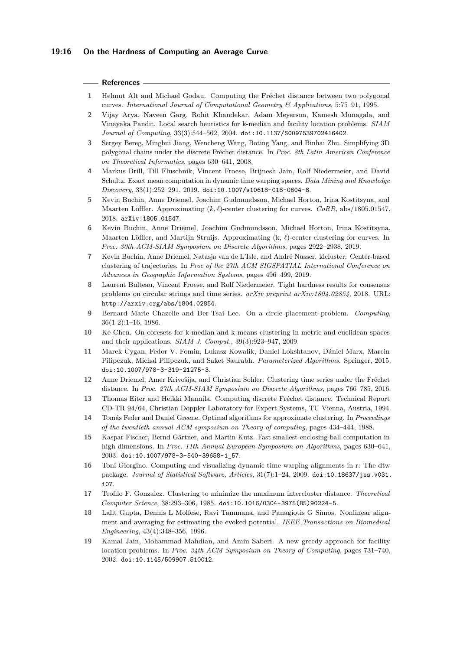#### **References**

- <span id="page-15-0"></span>**1** Helmut Alt and Michael Godau. Computing the Fréchet distance between two polygonal curves. *International Journal of Computational Geometry & Applications*, 5:75–91, 1995.
- <span id="page-15-8"></span>**2** Vijay Arya, Naveen Garg, Rohit Khandekar, Adam Meyerson, Kamesh Munagala, and Vinayaka Pandit. Local search heuristics for k-median and facility location problems. *SIAM Journal of Computing*, 33(3):544–562, 2004. [doi:10.1137/S0097539702416402](http://dx.doi.org/10.1137/S0097539702416402).
- <span id="page-15-16"></span>**3** Sergey Bereg, Minghui Jiang, Wencheng Wang, Boting Yang, and Binhai Zhu. Simplifying 3D polygonal chains under the discrete Fréchet distance. In *Proc. 8th Latin American Conference on Theoretical Informatics*, pages 630–641, 2008.
- <span id="page-15-6"></span>**4** Markus Brill, Till Fluschnik, Vincent Froese, Brijnesh Jain, Rolf Niedermeier, and David Schultz. Exact mean computation in dynamic time warping spaces. *Data Mining and Knowledge Discovery*, 33(1):252–291, 2019. [doi:10.1007/s10618-018-0604-8](http://dx.doi.org/10.1007/s10618-018-0604-8).
- <span id="page-15-14"></span>**5** Kevin Buchin, Anne Driemel, Joachim Gudmundsson, Michael Horton, Irina Kostitsyna, and Maarten Löffler. Approximating  $(k, \ell)$ -center clustering for curves. *CoRR*, abs/1805.01547, 2018. [arXiv:1805.01547](http://arxiv.org/abs/1805.01547).
- <span id="page-15-3"></span>**6** Kevin Buchin, Anne Driemel, Joachim Gudmundsson, Michael Horton, Irina Kostitsyna, Maarten Löffler, and Martijn Struijs. Approximating  $(k, \ell)$ -center clustering for curves. In *Proc. 30th ACM-SIAM Symposium on Discrete Algorithms*, pages 2922–2938, 2019.
- <span id="page-15-11"></span>**7** Kevin Buchin, Anne Driemel, Natasja van de L'Isle, and André Nusser. klcluster: Center-based clustering of trajectories. In *Proc of the 27th ACM SIGSPATIAL International Conference on Advances in Geographic Information Systems*, pages 496–499, 2019.
- <span id="page-15-4"></span>**8** Laurent Bulteau, Vincent Froese, and Rolf Niedermeier. Tight hardness results for consensus problems on circular strings and time series. *arXiv preprint arXiv:1804.02854*, 2018. URL: <http://arxiv.org/abs/1804.02854>.
- <span id="page-15-18"></span>**9** Bernard Marie Chazelle and Der-Tsai Lee. On a circle placement problem. *Computing*, 36(1-2):1–16, 1986.
- <span id="page-15-17"></span>**10** Ke Chen. On coresets for k-median and k-means clustering in metric and euclidean spaces and their applications. *SIAM J. Comput.*, 39(3):923–947, 2009.
- <span id="page-15-10"></span>**11** Marek Cygan, Fedor V. Fomin, Lukasz Kowalik, Daniel Lokshtanov, Dániel Marx, Marcin Pilipczuk, Michal Pilipczuk, and Saket Saurabh. *Parameterized Algorithms*. Springer, 2015. [doi:10.1007/978-3-319-21275-3](http://dx.doi.org/10.1007/978-3-319-21275-3).
- <span id="page-15-12"></span>**12** Anne Driemel, Amer Krivošija, and Christian Sohler. Clustering time series under the Fréchet distance. In *Proc. 27th ACM-SIAM Symposium on Discrete Algorithms*, pages 766–785, 2016.
- <span id="page-15-1"></span>**13** Thomas Eiter and Heikki Mannila. Computing discrete Fréchet distance. Technical Report CD-TR 94/64, Christian Doppler Laboratory for Expert Systems, TU Vienna, Austria, 1994.
- <span id="page-15-15"></span>**14** Tomás Feder and Daniel Greene. Optimal algorithms for approximate clustering. In *Proceedings of the twentieth annual ACM symposium on Theory of computing*, pages 434–444, 1988.
- <span id="page-15-2"></span>**15** Kaspar Fischer, Bernd Gärtner, and Martin Kutz. Fast smallest-enclosing-ball computation in high dimensions. In *Proc. 11th Annual European Symposium on Algorithms*, pages 630–641, 2003. [doi:10.1007/978-3-540-39658-1\\_57](http://dx.doi.org/10.1007/978-3-540-39658-1_57).
- <span id="page-15-13"></span>**16** Toni Giorgino. Computing and visualizing dynamic time warping alignments in r: The dtw package. *Journal of Statistical Software, Articles*, 31(7):1–24, 2009. [doi:10.18637/jss.v031.](http://dx.doi.org/10.18637/jss.v031.i07) [i07](http://dx.doi.org/10.18637/jss.v031.i07).
- <span id="page-15-7"></span>**17** Teofilo F. Gonzalez. Clustering to minimize the maximum intercluster distance. *Theoretical Computer Science*, 38:293–306, 1985. [doi:10.1016/0304-3975\(85\)90224-5](http://dx.doi.org/10.1016/0304-3975(85)90224-5).
- <span id="page-15-5"></span>**18** Lalit Gupta, Dennis L Molfese, Ravi Tammana, and Panagiotis G Simos. Nonlinear alignment and averaging for estimating the evoked potential. *IEEE Transactions on Biomedical Engineering*, 43(4):348–356, 1996.
- <span id="page-15-9"></span>**19** Kamal Jain, Mohammad Mahdian, and Amin Saberi. A new greedy approach for facility location problems. In *Proc. 34th ACM Symposium on Theory of Computing*, pages 731–740, 2002. [doi:10.1145/509907.510012](http://dx.doi.org/10.1145/509907.510012).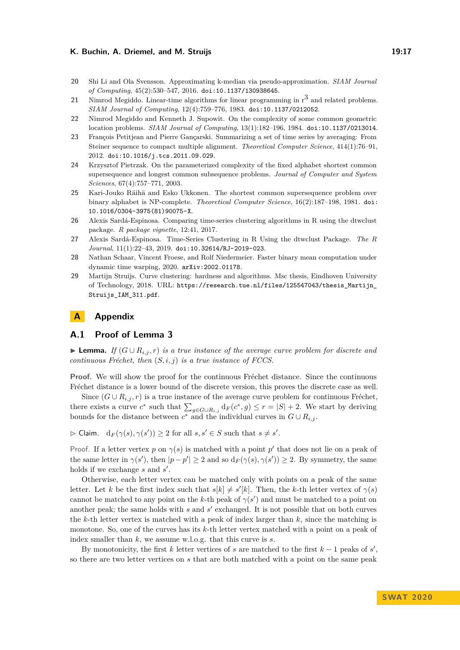#### **K. Buchin, A. Driemel, and M. Struijs 19:17** 19:17

- <span id="page-16-1"></span>**20** Shi Li and Ola Svensson. Approximating k-median via pseudo-approximation. *SIAM Journal of Computing*, 45(2):530–547, 2016. [doi:10.1137/130938645](http://dx.doi.org/10.1137/130938645).
- <span id="page-16-3"></span>21 Nimrod Megiddo. Linear-time algorithms for linear programming in r<sup>3</sup> and related problems. *SIAM Journal of Computing*, 12(4):759–776, 1983. [doi:10.1137/0212052](http://dx.doi.org/10.1137/0212052).
- <span id="page-16-2"></span>**22** Nimrod Megiddo and Kenneth J. Supowit. On the complexity of some common geometric location problems. *SIAM Journal of Computing*, 13(1):182–196, 1984. [doi:10.1137/0213014](http://dx.doi.org/10.1137/0213014).
- <span id="page-16-0"></span>**23** François Petitjean and Pierre Gançarski. Summarizing a set of time series by averaging: From Steiner sequence to compact multiple alignment. *Theoretical Computer Science*, 414(1):76–91, 2012. [doi:10.1016/j.tcs.2011.09.029](http://dx.doi.org/10.1016/j.tcs.2011.09.029).
- <span id="page-16-8"></span>**24** Krzysztof Pietrzak. On the parameterized complexity of the fixed alphabet shortest common supersequence and longest common subsequence problems. *Journal of Computer and System Sciences*, 67(4):757–771, 2003.
- <span id="page-16-7"></span>**25** Kari-Jouko Räihä and Esko Ukkonen. The shortest common supersequence problem over binary alphabet is NP-complete. *Theoretical Computer Science*, 16(2):187–198, 1981. [doi:](http://dx.doi.org/10.1016/0304-3975(81)90075-X) [10.1016/0304-3975\(81\)90075-X](http://dx.doi.org/10.1016/0304-3975(81)90075-X).
- <span id="page-16-5"></span>**26** Alexis Sardá-Espinosa. Comparing time-series clustering algorithms in R using the dtwclust package. *R package vignette*, 12:41, 2017.
- <span id="page-16-6"></span>**27** Alexis Sardá-Espinosa. Time-Series Clustering in R Using the dtwclust Package. *The R Journal*, 11(1):22–43, 2019. [doi:10.32614/RJ-2019-023](http://dx.doi.org/10.32614/RJ-2019-023).
- <span id="page-16-4"></span>**28** Nathan Schaar, Vincent Froese, and Rolf Niedermeier. Faster binary mean computation under dynamic time warping, 2020. [arXiv:2002.01178](http://arxiv.org/abs/2002.01178).
- <span id="page-16-10"></span>**29** Martijn Struijs. Curve clustering: hardness and algorithms. Msc thesis, Eindhoven University of Technology, 2018. URL: [https://research.tue.nl/files/125547043/thesis\\_Martijn\\_](https://research.tue.nl/files/125547043/thesis_Martijn_Struijs_IAM_311.pdf) [Struijs\\_IAM\\_311.pdf](https://research.tue.nl/files/125547043/thesis_Martijn_Struijs_IAM_311.pdf).

# <span id="page-16-9"></span>**A Appendix**

### **A.1 Proof of Lemma [3](#page-7-1)**

**► Lemma.** If  $(G \cup R_{i,j}, r)$  is a true instance of the average curve problem for discrete and *continuous Fréchet, then* (*S, i, j*) *is a true instance of FCCS.*

**Proof.** We will show the proof for the continuous Fréchet distance. Since the continuous Fréchet distance is a lower bound of the discrete version, this proves the discrete case as well.

Since  $(G \cup R_{i,j}, r)$  is a true instance of the average curve problem for continuous Fréchet, there exists a curve  $c^*$  such that  $\sum_{g \in G \cup R_{i,j}} d_F(c^*, g) \leq r = |S| + 2$ . We start by deriving bounds for the distance between  $c^*$  and the individual curves in  $G \cup R_{i,j}$ .

 $\Rightarrow$  Claim.  $d_F(\gamma(s), \gamma(s')) \ge 2$  for all  $s, s' \in S$  such that  $s \ne s'.$ 

Proof. If a letter vertex *p* on  $\gamma(s)$  is matched with a point *p*' that does not lie on a peak of the same letter in  $\gamma(s')$ , then  $|p - p'| \geq 2$  and so  $d_F(\gamma(s), \gamma(s')) \geq 2$ . By symmetry, the same holds if we exchange *s* and *s'*.

Otherwise, each letter vertex can be matched only with points on a peak of the same letter. Let *k* be the first index such that  $s[k] \neq s'[k]$ . Then, the *k*-th letter vertex of  $\gamma(s)$ cannot be matched to any point on the *k*-th peak of  $\gamma(s')$  and must be matched to a point on another peak; the same holds with  $s$  and  $s'$  exchanged. It is not possible that on both curves the *k*-th letter vertex is matched with a peak of index larger than *k*, since the matching is monotone. So, one of the curves has its *k*-th letter vertex matched with a point on a peak of index smaller than *k*, we assume w.l.o.g. that this curve is *s*.

By monotonicity, the first  $k$  letter vertices of  $s$  are matched to the first  $k-1$  peaks of  $s'$ , so there are two letter vertices on *s* that are both matched with a point on the same peak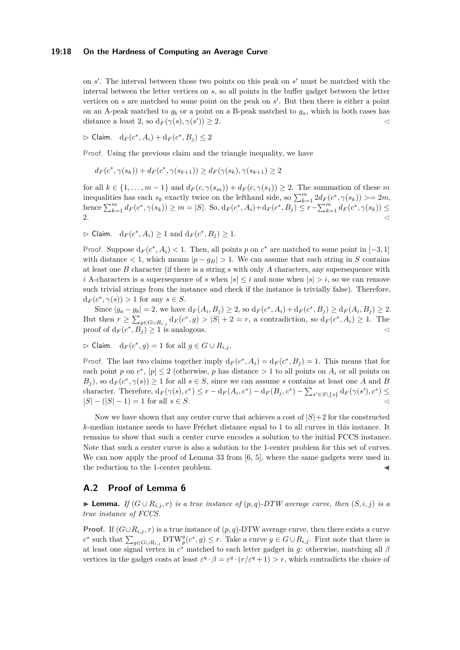#### **19:18 On the Hardness of Computing an Average Curve**

on *s'*. The interval between those two points on this peak on *s'* must be matched with the interval between the letter vertices on *s*, so all points in the buffer gadget between the letter vertices on  $s$  are matched to some point on the peak on  $s'$ . But then there is either a point on an A-peak matched to  $g_b$  or a point on a B-peak matched to  $g_a$ , which in both cases has distance a least 2, so  $d_F(\gamma(s), \gamma(s')) \geq 2$ .

 $\triangleright$  Claim.  $d_F(c^*, A_i) + d_F(c^*, B_j) ≤ 2$ 

Proof. Using the previous claim and the triangle inequality, we have

$$
d_F(c^*, \gamma(s_k)) + d_F(c^*, \gamma(s_{k+1})) \ge d_F(\gamma(s_k), \gamma(s_{k+1}) \ge 2
$$

for all  $k \in \{1, \ldots, m-1\}$  and  $d_F(c, \gamma(s_m)) + d_F(c, \gamma(s_1)) \geq 2$ . The summation of these *m* inequalities has each  $s_k$  exactly twice on the lefthand side, so  $\sum_{k=1}^{m} 2d_F(c^*, \gamma(s_k)) \geq 2m$ , hence  $\sum_{k=1}^{m} d_F(c^*, \gamma(s_k)) \geq m = |S|$ . So,  $d_F(c^*, A_i) + d_F(c^*, B_j) \leq r - \sum_{k=1}^{m} d_F(c^*, \gamma(s_k)) \leq$ 2.

 $\triangleright$  Claim.  $d_F(c^*, A_i) \geq 1$  and  $d_F(c^*, B_j) \geq 1$ .

Proof. Suppose  $d_F(c^*, A_i) < 1$ . Then, all points p on  $c^*$  are matched to some point in [-3, 1] with distance  $\langle 1, \text{ which means } |p - g_B| \rangle$  1. We can assume that each string in *S* contains at least one *B* character (if there is a string *s* with only *A* characters, any supersequence with *i* A-characters is a supersequence of *s* when  $|s| < i$  and none when  $|s| > i$ , so we can remove such trivial strings from the instance and check if the instance is trivially false). Therefore,  $d_F(c^*, \gamma(s)) > 1$  for any  $s \in S$ .

Since  $|g_a - g_b| = 2$ , we have  $d_F(A_i, B_j) \ge 2$ , so  $d_F(c^*, A_i) + d_F(c^*, B_j) \ge d_F(A_i, B_j) \ge 2$ . But then  $r \ge \sum_{g \in G \cup R_{i,j}} d_F(c^*, g) > |S| + 2 = r$ , a contradiction, so  $d_F(c^*, A_i) \ge 1$ . The proof of  $d_F(c^*, B_j) \ge 1$  is analogous.

$$
\triangleright \text{Claim. } d_F(c^*, g) = 1 \text{ for all } g \in G \cup R_{i,j}.
$$

Proof. The last two claims together imply  $d_F(c^*, A_i) = d_F(c^*, B_j) = 1$ . This means that for each point *p* on  $c^*$ ,  $|p| \leq 2$  (otherwise, *p* has distance  $> 1$  to all points on  $A_i$  or all points on  $B_j$ , so  $d_F(c^*, \gamma(s)) \geq 1$  for all  $s \in S$ , since we can assume *s* contains at least one *A* and *B* character. Therefore,  $d_F(\gamma(s), c^*) \leq r - d_F(A_i, c^*) - d_F(B_j, c^*) - \sum_{s' \in S \setminus \{s\}} d_F(\gamma(s'), c^*) \leq$ |*S*| − (|*S*| − 1) = 1 for all *s* ∈ *S*. C

Now we have shown that any center curve that achieves a cost of  $|S|+2$  for the constructed *k*-median instance needs to have Fréchet distance equal to 1 to all curves in this instance. It remains to show that such a center curve encodes a solution to the initial FCCS instance. Note that such a center curve is also a solution to the 1-center problem for this set of curves. We can now apply the proof of Lemma 33 from [\[6,](#page-15-3) [5\]](#page-15-14), where the same gadgets were used in the reduction to the 1-center problem.

# **A.2 Proof of Lemma [6](#page-8-2)**

▶ **Lemma.** *If*  $(G \cup R_{i,j}, r)$  *is a true instance of*  $(p, q)$ *-DTW average curve, then*  $(S, i, j)$  *is a true instance of FCCS.*

**Proof.** If  $(G \cup R_{i,j}, r)$  is a true instance of  $(p, q)$ -DTW average curve, then there exists a curve  $c^*$  such that  $\sum_{g \in G \cup R_{i,j}} DTW_p^q(c^*,g) \leq r$ . Take a curve  $g \in G \cup R_{i,j}$ . First note that there is at least one signal vertex in *c* <sup>∗</sup> matched to each letter gadget in *g*: otherwise, matching all *β* vertices in the gadget costs at least  $\varepsilon^q \cdot \beta = \varepsilon^q \cdot (r/\varepsilon^q + 1) > r$ , which contradicts the choice of